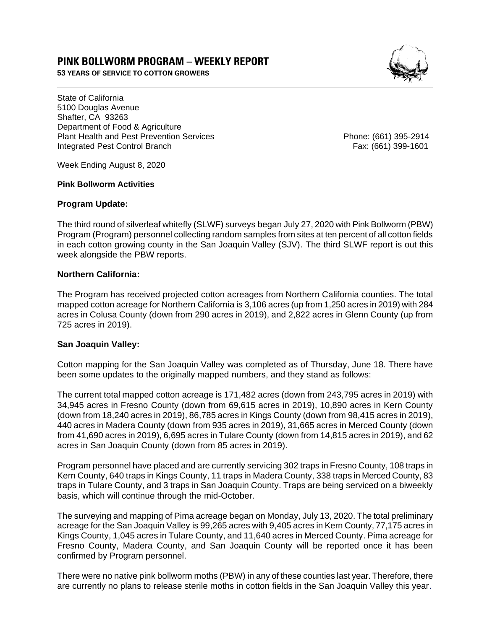# **PINK BOLLWORM PROGRAM – WEEKLY REPORT**

**53 YEARS OF SERVICE TO COTTON GROWERS** 



State of California 5100 Douglas Avenue Shafter, CA 93263 Department of Food & Agriculture Plant Health and Pest Prevention Services Phone: (661) 395-2914 Integrated Pest Control Branch Fax: (661) 399-1601

Week Ending August 8, 2020

#### **Pink Bollworm Activities**

#### **Program Update:**

The third round of silverleaf whitefly (SLWF) surveys began July 27, 2020 with Pink Bollworm (PBW) Program (Program) personnel collecting random samples from sites at ten percent of all cotton fields in each cotton growing county in the San Joaquin Valley (SJV). The third SLWF report is out this week alongside the PBW reports.

## **Northern California:**

The Program has received projected cotton acreages from Northern California counties. The total mapped cotton acreage for Northern California is 3,106 acres (up from 1,250 acres in 2019) with 284 acres in Colusa County (down from 290 acres in 2019), and 2,822 acres in Glenn County (up from 725 acres in 2019).

## **San Joaquin Valley:**

Cotton mapping for the San Joaquin Valley was completed as of Thursday, June 18. There have been some updates to the originally mapped numbers, and they stand as follows:

The current total mapped cotton acreage is 171,482 acres (down from 243,795 acres in 2019) with 34,945 acres in Fresno County (down from 69,615 acres in 2019), 10,890 acres in Kern County (down from 18,240 acres in 2019), 86,785 acres in Kings County (down from 98,415 acres in 2019), 440 acres in Madera County (down from 935 acres in 2019), 31,665 acres in Merced County (down from 41,690 acres in 2019), 6,695 acres in Tulare County (down from 14,815 acres in 2019), and 62 acres in San Joaquin County (down from 85 acres in 2019).

Program personnel have placed and are currently servicing 302 traps in Fresno County, 108 traps in Kern County, 640 traps in Kings County, 11 traps in Madera County, 338 traps in Merced County, 83 traps in Tulare County, and 3 traps in San Joaquin County. Traps are being serviced on a biweekly basis, which will continue through the mid-October.

The surveying and mapping of Pima acreage began on Monday, July 13, 2020. The total preliminary acreage for the San Joaquin Valley is 99,265 acres with 9,405 acres in Kern County, 77,175 acres in Kings County, 1,045 acres in Tulare County, and 11,640 acres in Merced County. Pima acreage for Fresno County, Madera County, and San Joaquin County will be reported once it has been confirmed by Program personnel.

There were no native pink bollworm moths (PBW) in any of these counties last year. Therefore, there are currently no plans to release sterile moths in cotton fields in the San Joaquin Valley this year.